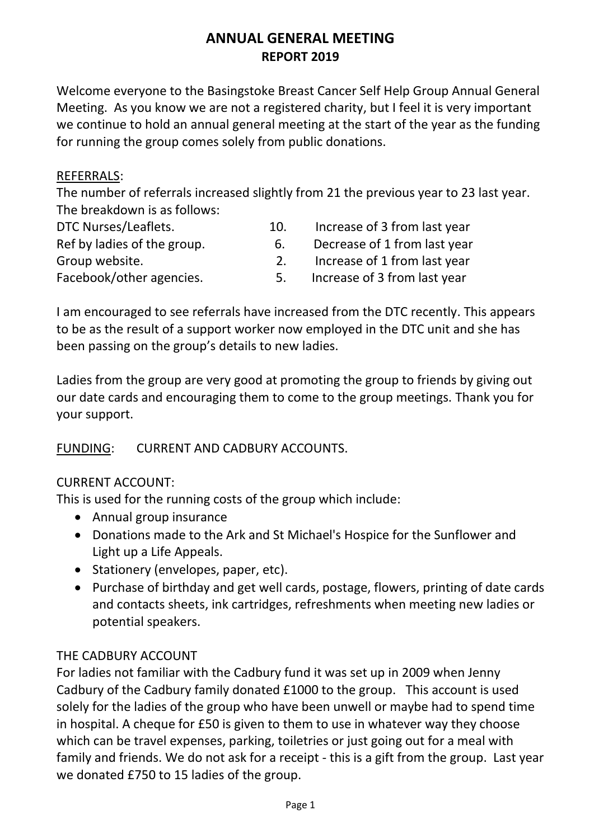# **ANNUAL GENERAL MEETING REPORT 2019**

Welcome everyone to the Basingstoke Breast Cancer Self Help Group Annual General Meeting. As you know we are not a registered charity, but I feel it is very important we continue to hold an annual general meeting at the start of the year as the funding for running the group comes solely from public donations.

#### REFERRALS:

The number of referrals increased slightly from 21 the previous year to 23 last year. The breakdown is as follows:

| DTC Nurses/Leaflets.        | 10.     | Increase of 3 from last year |
|-----------------------------|---------|------------------------------|
| Ref by ladies of the group. | $b_{1}$ | Decrease of 1 from last year |
| Group website.              |         | Increase of 1 from last year |
| Facebook/other agencies.    | 5.      | Increase of 3 from last year |

I am encouraged to see referrals have increased from the DTC recently. This appears to be as the result of a support worker now employed in the DTC unit and she has been passing on the group's details to new ladies.

Ladies from the group are very good at promoting the group to friends by giving out our date cards and encouraging them to come to the group meetings. Thank you for your support.

#### FUNDING: CURRENT AND CADBURY ACCOUNTS.

#### CURRENT ACCOUNT:

This is used for the running costs of the group which include:

- Annual group insurance
- Donations made to the Ark and St Michael's Hospice for the Sunflower and Light up a Life Appeals.
- Stationery (envelopes, paper, etc).
- Purchase of birthday and get well cards, postage, flowers, printing of date cards and contacts sheets, ink cartridges, refreshments when meeting new ladies or potential speakers.

#### THE CADBURY ACCOUNT

For ladies not familiar with the Cadbury fund it was set up in 2009 when Jenny Cadbury of the Cadbury family donated £1000 to the group. This account is used solely for the ladies of the group who have been unwell or maybe had to spend time in hospital. A cheque for £50 is given to them to use in whatever way they choose which can be travel expenses, parking, toiletries or just going out for a meal with family and friends. We do not ask for a receipt - this is a gift from the group. Last year we donated £750 to 15 ladies of the group.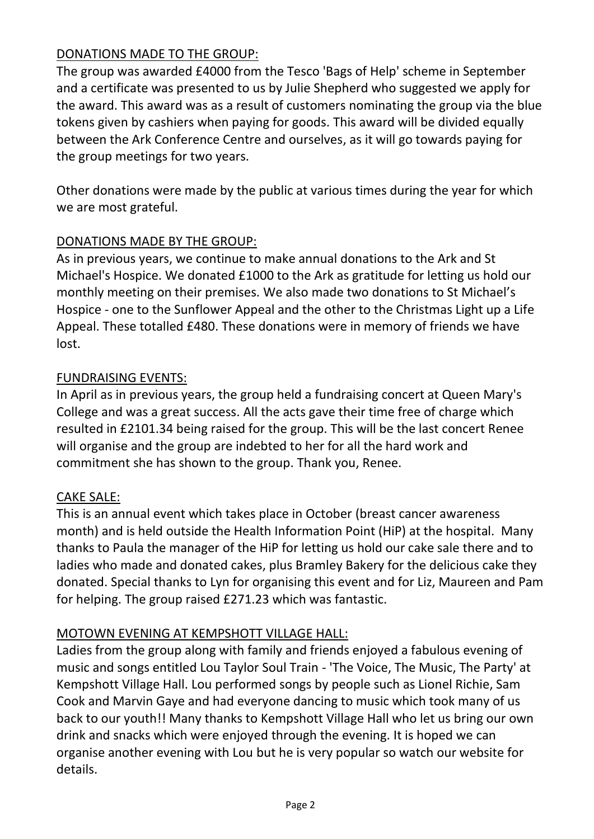## DONATIONS MADE TO THE GROUP:

The group was awarded £4000 from the Tesco 'Bags of Help' scheme in September and a certificate was presented to us by Julie Shepherd who suggested we apply for the award. This award was as a result of customers nominating the group via the blue tokens given by cashiers when paying for goods. This award will be divided equally between the Ark Conference Centre and ourselves, as it will go towards paying for the group meetings for two years.

Other donations were made by the public at various times during the year for which we are most grateful.

## DONATIONS MADE BY THE GROUP:

As in previous years, we continue to make annual donations to the Ark and St Michael's Hospice. We donated £1000 to the Ark as gratitude for letting us hold our monthly meeting on their premises. We also made two donations to St Michael's Hospice - one to the Sunflower Appeal and the other to the Christmas Light up a Life Appeal. These totalled £480. These donations were in memory of friends we have lost.

### FUNDRAISING EVENTS:

In April as in previous years, the group held a fundraising concert at Queen Mary's College and was a great success. All the acts gave their time free of charge which resulted in £2101.34 being raised for the group. This will be the last concert Renee will organise and the group are indebted to her for all the hard work and commitment she has shown to the group. Thank you, Renee.

#### CAKE SALE:

This is an annual event which takes place in October (breast cancer awareness month) and is held outside the Health Information Point (HiP) at the hospital. Many thanks to Paula the manager of the HiP for letting us hold our cake sale there and to ladies who made and donated cakes, plus Bramley Bakery for the delicious cake they donated. Special thanks to Lyn for organising this event and for Liz, Maureen and Pam for helping. The group raised £271.23 which was fantastic.

#### MOTOWN EVENING AT KEMPSHOTT VILLAGE HALL:

Ladies from the group along with family and friends enjoyed a fabulous evening of music and songs entitled Lou Taylor Soul Train - 'The Voice, The Music, The Party' at Kempshott Village Hall. Lou performed songs by people such as Lionel Richie, Sam Cook and Marvin Gaye and had everyone dancing to music which took many of us back to our youth!! Many thanks to Kempshott Village Hall who let us bring our own drink and snacks which were enjoyed through the evening. It is hoped we can organise another evening with Lou but he is very popular so watch our website for details.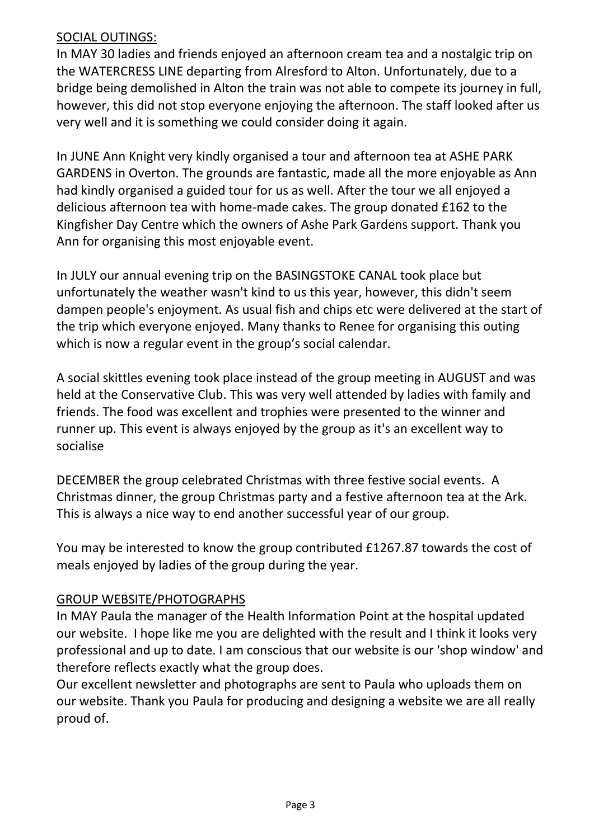### SOCIAL OUTINGS:

In MAY 30 ladies and friends enjoyed an afternoon cream tea and a nostalgic trip on the WATERCRESS LINE departing from Alresford to Alton. Unfortunately, due to a bridge being demolished in Alton the train was not able to compete its journey in full, however, this did not stop everyone enjoying the afternoon. The staff looked after us very well and it is something we could consider doing it again.

In JUNE Ann Knight very kindly organised a tour and afternoon tea at ASHE PARK GARDENS in Overton. The grounds are fantastic, made all the more enjoyable as Ann had kindly organised a guided tour for us as well. After the tour we all enjoyed a delicious afternoon tea with home-made cakes. The group donated £162 to the Kingfisher Day Centre which the owners of Ashe Park Gardens support. Thank you Ann for organising this most enjoyable event.

In JULY our annual evening trip on the BASINGSTOKE CANAL took place but unfortunately the weather wasn't kind to us this year, however, this didn't seem dampen people's enjoyment. As usual fish and chips etc were delivered at the start of the trip which everyone enjoyed. Many thanks to Renee for organising this outing which is now a regular event in the group's social calendar.

A social skittles evening took place instead of the group meeting in AUGUST and was held at the Conservative Club. This was very well attended by ladies with family and friends. The food was excellent and trophies were presented to the winner and runner up. This event is always enjoyed by the group as it's an excellent way to socialise

DECEMBER the group celebrated Christmas with three festive social events. A Christmas dinner, the group Christmas party and a festive afternoon tea at the Ark. This is always a nice way to end another successful year of our group.

You may be interested to know the group contributed £1267.87 towards the cost of meals enjoyed by ladies of the group during the year.

## GROUP WEBSITE/PHOTOGRAPHS

In MAY Paula the manager of the Health Information Point at the hospital updated our website. I hope like me you are delighted with the result and I think it looks very professional and up to date. I am conscious that our website is our 'shop window' and therefore reflects exactly what the group does.

Our excellent newsletter and photographs are sent to Paula who uploads them on our website. Thank you Paula for producing and designing a website we are all really proud of.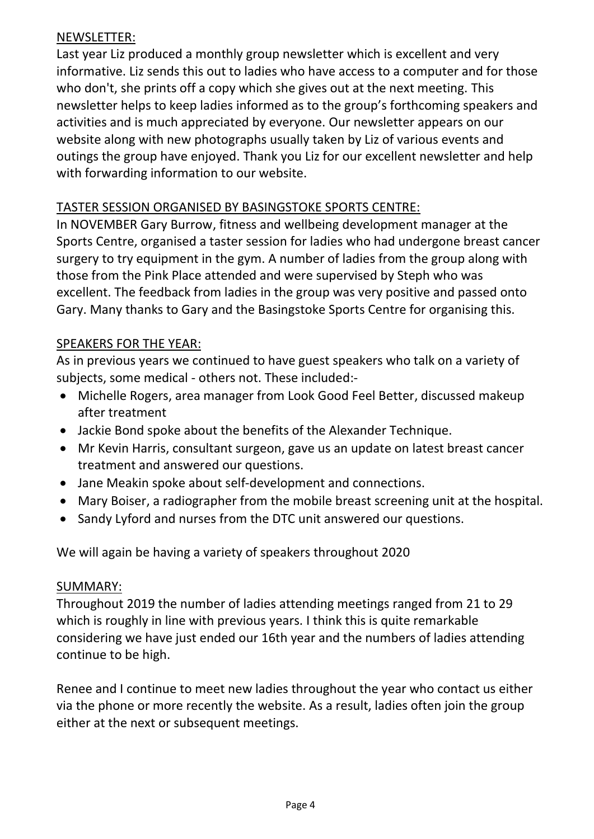### NEWSLETTER:

Last year Liz produced a monthly group newsletter which is excellent and very informative. Liz sends this out to ladies who have access to a computer and for those who don't, she prints off a copy which she gives out at the next meeting. This newsletter helps to keep ladies informed as to the group's forthcoming speakers and activities and is much appreciated by everyone. Our newsletter appears on our website along with new photographs usually taken by Liz of various events and outings the group have enjoyed. Thank you Liz for our excellent newsletter and help with forwarding information to our website.

## TASTER SESSION ORGANISED BY BASINGSTOKE SPORTS CENTRE:

In NOVEMBER Gary Burrow, fitness and wellbeing development manager at the Sports Centre, organised a taster session for ladies who had undergone breast cancer surgery to try equipment in the gym. A number of ladies from the group along with those from the Pink Place attended and were supervised by Steph who was excellent. The feedback from ladies in the group was very positive and passed onto Gary. Many thanks to Gary and the Basingstoke Sports Centre for organising this.

# SPEAKERS FOR THE YEAR:

As in previous years we continued to have guest speakers who talk on a variety of subjects, some medical - others not. These included:-

- Michelle Rogers, area manager from Look Good Feel Better, discussed makeup after treatment
- Jackie Bond spoke about the benefits of the Alexander Technique.
- Mr Kevin Harris, consultant surgeon, gave us an update on latest breast cancer treatment and answered our questions.
- Jane Meakin spoke about self-development and connections.
- Mary Boiser, a radiographer from the mobile breast screening unit at the hospital.
- Sandy Lyford and nurses from the DTC unit answered our questions.

We will again be having a variety of speakers throughout 2020

#### SUMMARY:

Throughout 2019 the number of ladies attending meetings ranged from 21 to 29 which is roughly in line with previous years. I think this is quite remarkable considering we have just ended our 16th year and the numbers of ladies attending continue to be high.

Renee and I continue to meet new ladies throughout the year who contact us either via the phone or more recently the website. As a result, ladies often join the group either at the next or subsequent meetings.